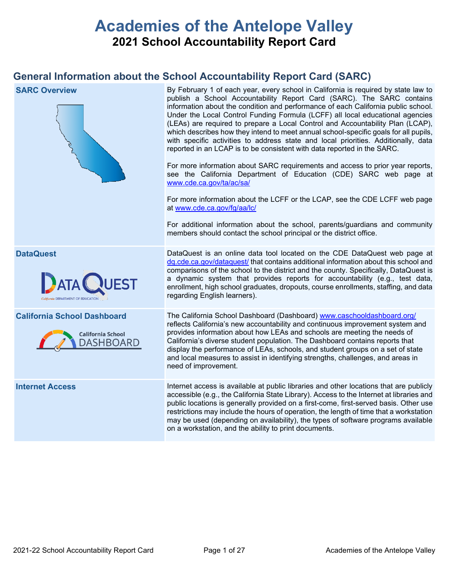# **Academies of the Antelope Valley 2021 School Accountability Report Card**

# **General Information about the School Accountability Report Card (SARC)**

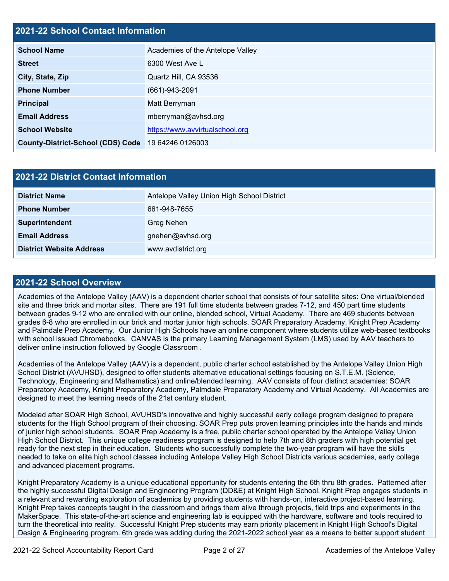## **2021-22 School Contact Information**

| <b>School Name</b>                       | Academies of the Antelope Valley |  |  |  |
|------------------------------------------|----------------------------------|--|--|--|
| <b>Street</b>                            | 6300 West Ave L                  |  |  |  |
| City, State, Zip                         | Quartz Hill, CA 93536            |  |  |  |
| <b>Phone Number</b>                      | $(661)-943-2091$                 |  |  |  |
| <b>Principal</b>                         | Matt Berryman                    |  |  |  |
| <b>Email Address</b>                     | mberryman@avhsd.org              |  |  |  |
| <b>School Website</b>                    | https://www.avvirtualschool.org  |  |  |  |
| <b>County-District-School (CDS) Code</b> | 19 64246 0126003                 |  |  |  |

| 2021-22 District Contact Information |                                            |  |  |  |
|--------------------------------------|--------------------------------------------|--|--|--|
| <b>District Name</b>                 | Antelope Valley Union High School District |  |  |  |
| <b>Phone Number</b>                  | 661-948-7655                               |  |  |  |
| Superintendent                       | Greg Nehen                                 |  |  |  |
| <b>Email Address</b>                 | gnehen@avhsd.org                           |  |  |  |
| <b>District Website Address</b>      | www.avdistrict.org                         |  |  |  |

### **2021-22 School Overview**

Academies of the Antelope Valley (AAV) is a dependent charter school that consists of four satellite sites: One virtual/blended site and three brick and mortar sites. There are 191 full time students between grades 7-12, and 450 part time students between grades 9-12 who are enrolled with our online, blended school, Virtual Academy. There are 469 students between grades 6-8 who are enrolled in our brick and mortar junior high schools, SOAR Preparatory Academy, Knight Prep Academy and Palmdale Prep Academy. Our Junior High Schools have an online component where students utilize web-based textbooks with school issued Chromebooks. CANVAS is the primary Learning Management System (LMS) used by AAV teachers to deliver online instruction followed by Google Classroom .

Academies of the Antelope Valley (AAV) is a dependent, public charter school established by the Antelope Valley Union High School District (AVUHSD), designed to offer students alternative educational settings focusing on S.T.E.M. (Science, Technology, Engineering and Mathematics) and online/blended learning. AAV consists of four distinct academies: SOAR Preparatory Academy, Knight Preparatory Academy, Palmdale Preparatory Academy and Virtual Academy. All Academies are designed to meet the learning needs of the 21st century student.

Modeled after SOAR High School, AVUHSD's innovative and highly successful early college program designed to prepare students for the High School program of their choosing. SOAR Prep puts proven learning principles into the hands and minds of junior high school students. SOAR Prep Academy is a free, public charter school operated by the Antelope Valley Union High School District. This unique college readiness program is designed to help 7th and 8th graders with high potential get ready for the next step in their education. Students who successfully complete the two-year program will have the skills needed to take on elite high school classes including Antelope Valley High School Districts various academies, early college and advanced placement programs.

Knight Preparatory Academy is a unique educational opportunity for students entering the 6th thru 8th grades. Patterned after the highly successful Digital Design and Engineering Program (DD&E) at Knight High School, Knight Prep engages students in a relevant and rewarding exploration of academics by providing students with hands-on, interactive project-based learning. Knight Prep takes concepts taught in the classroom and brings them alive through projects, field trips and experiments in the MakerSpace. This state-of-the-art science and engineering lab is equipped with the hardware, software and tools required to turn the theoretical into reality. Successful Knight Prep students may earn priority placement in Knight High School's Digital Design & Engineering program. 6th grade was adding during the 2021-2022 school year as a means to better support student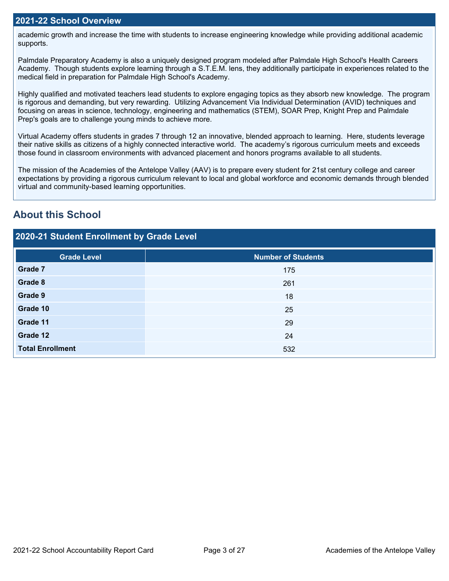academic growth and increase the time with students to increase engineering knowledge while providing additional academic supports.

Palmdale Preparatory Academy is also a uniquely designed program modeled after Palmdale High School's Health Careers Academy. Though students explore learning through a S.T.E.M. lens, they additionally participate in experiences related to the medical field in preparation for Palmdale High School's Academy.

Highly qualified and motivated teachers lead students to explore engaging topics as they absorb new knowledge. The program is rigorous and demanding, but very rewarding. Utilizing Advancement Via Individual Determination (AVID) techniques and focusing on areas in science, technology, engineering and mathematics (STEM), SOAR Prep, Knight Prep and Palmdale Prep's goals are to challenge young minds to achieve more.

Virtual Academy offers students in grades 7 through 12 an innovative, blended approach to learning. Here, students leverage their native skills as citizens of a highly connected interactive world. The academy's rigorous curriculum meets and exceeds those found in classroom environments with advanced placement and honors programs available to all students.

The mission of the Academies of the Antelope Valley (AAV) is to prepare every student for 21st century college and career expectations by providing a rigorous curriculum relevant to local and global workforce and economic demands through blended virtual and community-based learning opportunities.

# **About this School**

| 2020-21 Student Enrollment by Grade Level |                           |  |  |  |  |
|-------------------------------------------|---------------------------|--|--|--|--|
| <b>Grade Level</b>                        | <b>Number of Students</b> |  |  |  |  |
| Grade 7                                   | 175                       |  |  |  |  |
| Grade 8                                   | 261                       |  |  |  |  |
| Grade 9                                   | 18                        |  |  |  |  |
| Grade 10                                  | 25                        |  |  |  |  |
| Grade 11                                  | 29                        |  |  |  |  |
| Grade 12                                  | 24                        |  |  |  |  |
| <b>Total Enrollment</b>                   | 532                       |  |  |  |  |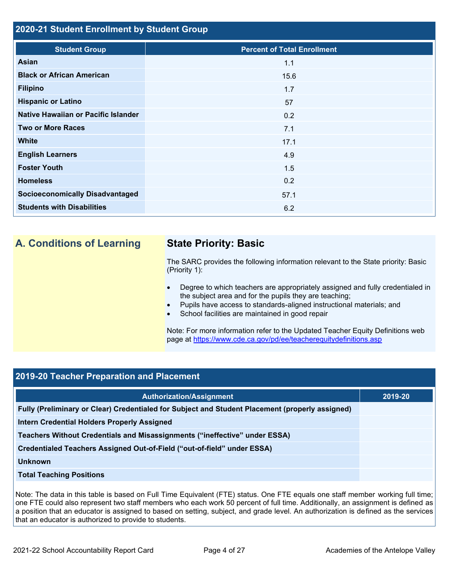### **2020-21 Student Enrollment by Student Group**

| <b>Student Group</b>                   | <b>Percent of Total Enrollment</b> |
|----------------------------------------|------------------------------------|
| <b>Asian</b>                           | 1.1                                |
| <b>Black or African American</b>       | 15.6                               |
| <b>Filipino</b>                        | 1.7                                |
| <b>Hispanic or Latino</b>              | 57                                 |
| Native Hawaiian or Pacific Islander    | 0.2                                |
| <b>Two or More Races</b>               | 7.1                                |
| <b>White</b>                           | 17.1                               |
| <b>English Learners</b>                | 4.9                                |
| <b>Foster Youth</b>                    | 1.5                                |
| <b>Homeless</b>                        | 0.2                                |
| <b>Socioeconomically Disadvantaged</b> | 57.1                               |
| <b>Students with Disabilities</b>      | 6.2                                |

# **A. Conditions of Learning State Priority: Basic**

The SARC provides the following information relevant to the State priority: Basic (Priority 1):

- Degree to which teachers are appropriately assigned and fully credentialed in the subject area and for the pupils they are teaching;
- Pupils have access to standards-aligned instructional materials; and
- School facilities are maintained in good repair

Note: For more information refer to the Updated Teacher Equity Definitions web page at<https://www.cde.ca.gov/pd/ee/teacherequitydefinitions.asp>

# **2019-20 Teacher Preparation and Placement**

| <b>Authorization/Assignment</b>                                                                 | 2019-20 |
|-------------------------------------------------------------------------------------------------|---------|
| Fully (Preliminary or Clear) Credentialed for Subject and Student Placement (properly assigned) |         |
| Intern Credential Holders Properly Assigned                                                     |         |
| Teachers Without Credentials and Misassignments ("ineffective" under ESSA)                      |         |
| Credentialed Teachers Assigned Out-of-Field ("out-of-field" under ESSA)                         |         |
| Unknown                                                                                         |         |
| <b>Total Teaching Positions</b>                                                                 |         |

Note: The data in this table is based on Full Time Equivalent (FTE) status. One FTE equals one staff member working full time; one FTE could also represent two staff members who each work 50 percent of full time. Additionally, an assignment is defined as a position that an educator is assigned to based on setting, subject, and grade level. An authorization is defined as the services that an educator is authorized to provide to students.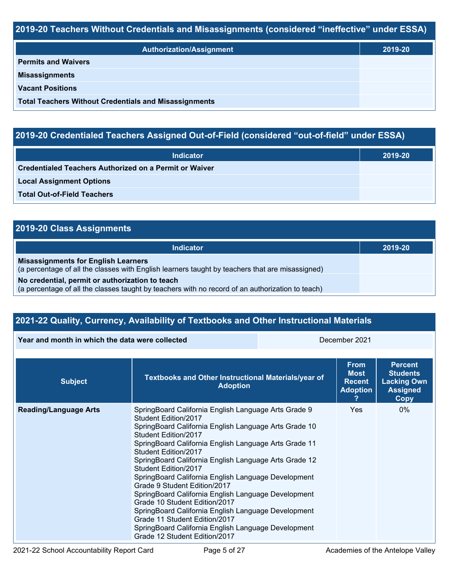# **2019-20 Teachers Without Credentials and Misassignments (considered "ineffective" under ESSA)**

| <b>Authorization/Assignment</b>                              | 2019-20 |  |
|--------------------------------------------------------------|---------|--|
| <b>Permits and Waivers</b>                                   |         |  |
| <b>Misassignments</b>                                        |         |  |
| <b>Vacant Positions</b>                                      |         |  |
| <b>Total Teachers Without Credentials and Misassignments</b> |         |  |

# **2019-20 Credentialed Teachers Assigned Out-of-Field (considered "out-of-field" under ESSA)**

| <b>Indicator</b>                                       | 2019-20 |  |  |  |
|--------------------------------------------------------|---------|--|--|--|
| Credentialed Teachers Authorized on a Permit or Waiver |         |  |  |  |
| <b>Local Assignment Options</b>                        |         |  |  |  |
| <b>Total Out-of-Field Teachers</b>                     |         |  |  |  |

# **2019-20 Class Assignments**

| Indicator                                                                                                                                           | 2019-20 |
|-----------------------------------------------------------------------------------------------------------------------------------------------------|---------|
| <b>Misassignments for English Learners</b><br>(a percentage of all the classes with English learners taught by teachers that are misassigned)       |         |
| No credential, permit or authorization to teach<br>(a percentage of all the classes taught by teachers with no record of an authorization to teach) |         |

# **2021-22 Quality, Currency, Availability of Textbooks and Other Instructional Materials**

**Year and month in which the data were collected** December 2021

| <b>Subject</b>               | Textbooks and Other Instructional Materials/year of<br><b>Adoption</b>                                                                                                                                                                                                                                                                                                                                                                                                                                                                                                                                                                                                                         | <b>From</b><br><b>Most</b><br><b>Recent</b><br><b>Adoption</b> | <b>Percent</b><br><b>Students</b><br><b>Lacking Own</b><br><b>Assigned</b><br>Copy |
|------------------------------|------------------------------------------------------------------------------------------------------------------------------------------------------------------------------------------------------------------------------------------------------------------------------------------------------------------------------------------------------------------------------------------------------------------------------------------------------------------------------------------------------------------------------------------------------------------------------------------------------------------------------------------------------------------------------------------------|----------------------------------------------------------------|------------------------------------------------------------------------------------|
| <b>Reading/Language Arts</b> | SpringBoard California English Language Arts Grade 9<br>Student Edition/2017<br>SpringBoard California English Language Arts Grade 10<br>Student Edition/2017<br>SpringBoard California English Language Arts Grade 11<br>Student Edition/2017<br>SpringBoard California English Language Arts Grade 12<br>Student Edition/2017<br>SpringBoard California English Language Development<br>Grade 9 Student Edition/2017<br>SpringBoard California English Language Development<br>Grade 10 Student Edition/2017<br>SpringBoard California English Language Development<br>Grade 11 Student Edition/2017<br>SpringBoard California English Language Development<br>Grade 12 Student Edition/2017 | Yes                                                            | $0\%$                                                                              |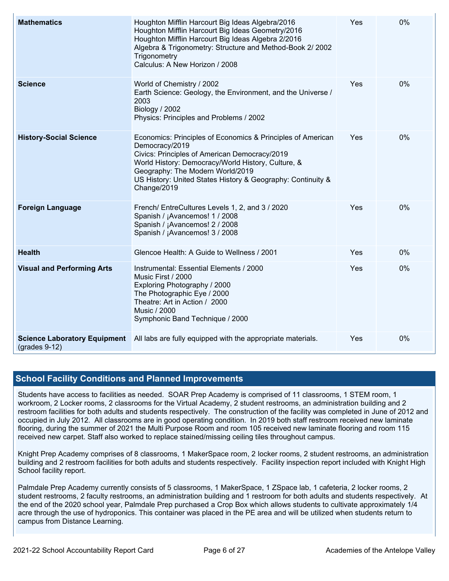| <b>Mathematics</b>                                     | Houghton Mifflin Harcourt Big Ideas Algebra/2016<br>Houghton Mifflin Harcourt Big Ideas Geometry/2016<br>Houghton Mifflin Harcourt Big Ideas Algebra 2/2016<br>Algebra & Trigonometry: Structure and Method-Book 2/ 2002<br>Trigonometry<br>Calculus: A New Horizon / 2008                             | Yes | 0%    |  |  |
|--------------------------------------------------------|--------------------------------------------------------------------------------------------------------------------------------------------------------------------------------------------------------------------------------------------------------------------------------------------------------|-----|-------|--|--|
| <b>Science</b>                                         | World of Chemistry / 2002<br>Earth Science: Geology, the Environment, and the Universe /<br>2003<br><b>Biology / 2002</b><br>Physics: Principles and Problems / 2002                                                                                                                                   | Yes | $0\%$ |  |  |
| <b>History-Social Science</b>                          | Economics: Principles of Economics & Principles of American<br>Democracy/2019<br>Civics: Principles of American Democracy/2019<br>World History: Democracy/World History, Culture, &<br>Geography: The Modern World/2019<br>US History: United States History & Geography: Continuity &<br>Change/2019 | Yes | 0%    |  |  |
| <b>Foreign Language</b>                                | French/ EntreCultures Levels 1, 2, and 3 / 2020<br>Spanish / ¡Avancemos! 1 / 2008<br>Spanish / ¡Avancemos! 2 / 2008<br>Spanish / ¡Avancemos! 3 / 2008                                                                                                                                                  | Yes | 0%    |  |  |
| <b>Health</b>                                          | Glencoe Health: A Guide to Wellness / 2001                                                                                                                                                                                                                                                             | Yes | 0%    |  |  |
| <b>Visual and Performing Arts</b>                      | Instrumental: Essential Elements / 2000<br>Music First / 2000<br>Exploring Photography / 2000<br>The Photographic Eye / 2000<br>Theatre: Art in Action / 2000<br><b>Music / 2000</b><br>Symphonic Band Technique / 2000                                                                                | Yes | 0%    |  |  |
| <b>Science Laboratory Equipment</b><br>$(grades 9-12)$ | All labs are fully equipped with the appropriate materials.<br>Yes                                                                                                                                                                                                                                     |     |       |  |  |

## **School Facility Conditions and Planned Improvements**

Students have access to facilities as needed. SOAR Prep Academy is comprised of 11 classrooms, 1 STEM room, 1 workroom, 2 Locker rooms, 2 classrooms for the Virtual Academy, 2 student restrooms, an administration building and 2 restroom facilities for both adults and students respectively. The construction of the facility was completed in June of 2012 and occupied in July 2012. All classrooms are in good operating condition. In 2019 both staff restroom received new laminate flooring, during the summer of 2021 the Multi Purpose Room and room 105 received new laminate flooring and room 115 received new carpet. Staff also worked to replace stained/missing ceiling tiles throughout campus.

Knight Prep Academy comprises of 8 classrooms, 1 MakerSpace room, 2 locker rooms, 2 student restrooms, an administration building and 2 restroom facilities for both adults and students respectively. Facility inspection report included with Knight High School facility report.

Palmdale Prep Academy currently consists of 5 classrooms, 1 MakerSpace, 1 ZSpace lab, 1 cafeteria, 2 locker rooms, 2 student restrooms, 2 faculty restrooms, an administration building and 1 restroom for both adults and students respectively. At the end of the 2020 school year, Palmdale Prep purchased a Crop Box which allows students to cultivate approximately 1/4 acre through the use of hydroponics. This container was placed in the PE area and will be utilized when students return to campus from Distance Learning.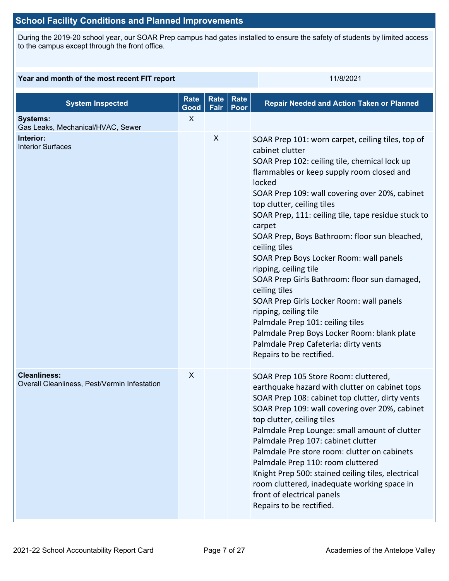# **School Facility Conditions and Planned Improvements**

During the 2019-20 school year, our SOAR Prep campus had gates installed to ensure the safety of students by limited access to the campus except through the front office.

### **Year and month of the most recent FIT report** 11/8/2021

| <b>System Inspected</b>                                             | <b>Rate</b><br>Good | <b>Rate</b><br>Fair | Rate<br>Poor | <b>Repair Needed and Action Taken or Planned</b>                                                                                                                                                                                                                                                                                                                                                                                                                                                                                                                                                                                                                                                                                                                 |
|---------------------------------------------------------------------|---------------------|---------------------|--------------|------------------------------------------------------------------------------------------------------------------------------------------------------------------------------------------------------------------------------------------------------------------------------------------------------------------------------------------------------------------------------------------------------------------------------------------------------------------------------------------------------------------------------------------------------------------------------------------------------------------------------------------------------------------------------------------------------------------------------------------------------------------|
| <b>Systems:</b><br>Gas Leaks, Mechanical/HVAC, Sewer                | X                   |                     |              |                                                                                                                                                                                                                                                                                                                                                                                                                                                                                                                                                                                                                                                                                                                                                                  |
| Interior:<br><b>Interior Surfaces</b>                               |                     | X                   |              | SOAR Prep 101: worn carpet, ceiling tiles, top of<br>cabinet clutter<br>SOAR Prep 102: ceiling tile, chemical lock up<br>flammables or keep supply room closed and<br>locked<br>SOAR Prep 109: wall covering over 20%, cabinet<br>top clutter, ceiling tiles<br>SOAR Prep, 111: ceiling tile, tape residue stuck to<br>carpet<br>SOAR Prep, Boys Bathroom: floor sun bleached,<br>ceiling tiles<br>SOAR Prep Boys Locker Room: wall panels<br>ripping, ceiling tile<br>SOAR Prep Girls Bathroom: floor sun damaged,<br>ceiling tiles<br>SOAR Prep Girls Locker Room: wall panels<br>ripping, ceiling tile<br>Palmdale Prep 101: ceiling tiles<br>Palmdale Prep Boys Locker Room: blank plate<br>Palmdale Prep Cafeteria: dirty vents<br>Repairs to be rectified. |
| <b>Cleanliness:</b><br>Overall Cleanliness, Pest/Vermin Infestation | X                   |                     |              | SOAR Prep 105 Store Room: cluttered,<br>earthquake hazard with clutter on cabinet tops<br>SOAR Prep 108: cabinet top clutter, dirty vents<br>SOAR Prep 109: wall covering over 20%, cabinet<br>top clutter, ceiling tiles<br>Palmdale Prep Lounge: small amount of clutter<br>Palmdale Prep 107: cabinet clutter<br>Palmdale Pre store room: clutter on cabinets<br>Palmdale Prep 110: room cluttered<br>Knight Prep 500: stained ceiling tiles, electrical<br>room cluttered, inadequate working space in<br>front of electrical panels<br>Repairs to be rectified.                                                                                                                                                                                             |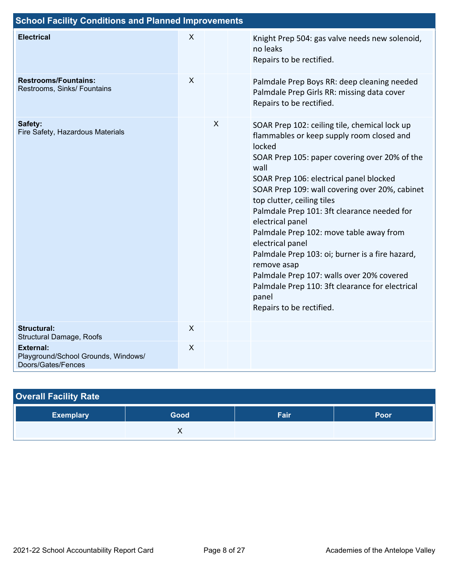| <b>School Facility Conditions and Planned Improvements</b>                    |                           |                           |                                                                                                                                                                                                                                                                                                                                                                                                                                                                                                                                                                                                                                   |  |
|-------------------------------------------------------------------------------|---------------------------|---------------------------|-----------------------------------------------------------------------------------------------------------------------------------------------------------------------------------------------------------------------------------------------------------------------------------------------------------------------------------------------------------------------------------------------------------------------------------------------------------------------------------------------------------------------------------------------------------------------------------------------------------------------------------|--|
| <b>Electrical</b>                                                             | X                         |                           | Knight Prep 504: gas valve needs new solenoid,<br>no leaks<br>Repairs to be rectified.                                                                                                                                                                                                                                                                                                                                                                                                                                                                                                                                            |  |
| <b>Restrooms/Fountains:</b><br>Restrooms, Sinks/ Fountains                    | X                         |                           | Palmdale Prep Boys RR: deep cleaning needed<br>Palmdale Prep Girls RR: missing data cover<br>Repairs to be rectified.                                                                                                                                                                                                                                                                                                                                                                                                                                                                                                             |  |
| Safety:<br>Fire Safety, Hazardous Materials                                   |                           | $\boldsymbol{\mathsf{X}}$ | SOAR Prep 102: ceiling tile, chemical lock up<br>flammables or keep supply room closed and<br>locked<br>SOAR Prep 105: paper covering over 20% of the<br>wall<br>SOAR Prep 106: electrical panel blocked<br>SOAR Prep 109: wall covering over 20%, cabinet<br>top clutter, ceiling tiles<br>Palmdale Prep 101: 3ft clearance needed for<br>electrical panel<br>Palmdale Prep 102: move table away from<br>electrical panel<br>Palmdale Prep 103: oi; burner is a fire hazard,<br>remove asap<br>Palmdale Prep 107: walls over 20% covered<br>Palmdale Prep 110: 3ft clearance for electrical<br>panel<br>Repairs to be rectified. |  |
| <b>Structural:</b><br>Structural Damage, Roofs                                | $\sf X$                   |                           |                                                                                                                                                                                                                                                                                                                                                                                                                                                                                                                                                                                                                                   |  |
| <b>External:</b><br>Playground/School Grounds, Windows/<br>Doors/Gates/Fences | $\boldsymbol{\mathsf{X}}$ |                           |                                                                                                                                                                                                                                                                                                                                                                                                                                                                                                                                                                                                                                   |  |

| <b>Overall Facility Rate</b> |      |      |      |
|------------------------------|------|------|------|
| <b>Exemplary</b>             | Good | Fair | Poor |
|                              |      |      |      |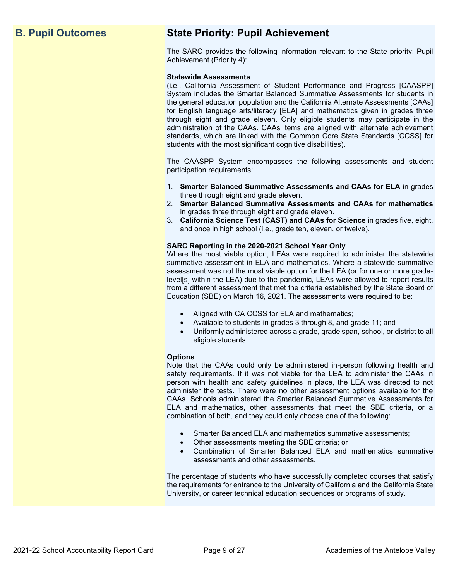# **B. Pupil Outcomes State Priority: Pupil Achievement**

The SARC provides the following information relevant to the State priority: Pupil Achievement (Priority 4):

### **Statewide Assessments**

(i.e., California Assessment of Student Performance and Progress [CAASPP] System includes the Smarter Balanced Summative Assessments for students in the general education population and the California Alternate Assessments [CAAs] for English language arts/literacy [ELA] and mathematics given in grades three through eight and grade eleven. Only eligible students may participate in the administration of the CAAs. CAAs items are aligned with alternate achievement standards, which are linked with the Common Core State Standards [CCSS] for students with the most significant cognitive disabilities).

The CAASPP System encompasses the following assessments and student participation requirements:

- 1. **Smarter Balanced Summative Assessments and CAAs for ELA** in grades three through eight and grade eleven.
- 2. **Smarter Balanced Summative Assessments and CAAs for mathematics** in grades three through eight and grade eleven.
- 3. **California Science Test (CAST) and CAAs for Science** in grades five, eight, and once in high school (i.e., grade ten, eleven, or twelve).

### **SARC Reporting in the 2020-2021 School Year Only**

Where the most viable option, LEAs were required to administer the statewide summative assessment in ELA and mathematics. Where a statewide summative assessment was not the most viable option for the LEA (or for one or more gradelevel[s] within the LEA) due to the pandemic, LEAs were allowed to report results from a different assessment that met the criteria established by the State Board of Education (SBE) on March 16, 2021. The assessments were required to be:

- Aligned with CA CCSS for ELA and mathematics;
- Available to students in grades 3 through 8, and grade 11; and
- Uniformly administered across a grade, grade span, school, or district to all eligible students.

### **Options**

Note that the CAAs could only be administered in-person following health and safety requirements. If it was not viable for the LEA to administer the CAAs in person with health and safety guidelines in place, the LEA was directed to not administer the tests. There were no other assessment options available for the CAAs. Schools administered the Smarter Balanced Summative Assessments for ELA and mathematics, other assessments that meet the SBE criteria, or a combination of both, and they could only choose one of the following:

- Smarter Balanced ELA and mathematics summative assessments;
- Other assessments meeting the SBE criteria; or
- Combination of Smarter Balanced ELA and mathematics summative assessments and other assessments.

The percentage of students who have successfully completed courses that satisfy the requirements for entrance to the University of California and the California State University, or career technical education sequences or programs of study.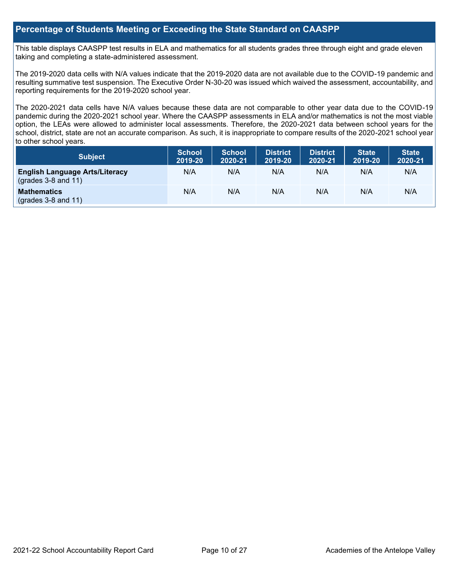### **Percentage of Students Meeting or Exceeding the State Standard on CAASPP**

This table displays CAASPP test results in ELA and mathematics for all students grades three through eight and grade eleven taking and completing a state-administered assessment.

The 2019-2020 data cells with N/A values indicate that the 2019-2020 data are not available due to the COVID-19 pandemic and resulting summative test suspension. The Executive Order N-30-20 was issued which waived the assessment, accountability, and reporting requirements for the 2019-2020 school year.

The 2020-2021 data cells have N/A values because these data are not comparable to other year data due to the COVID-19 pandemic during the 2020-2021 school year. Where the CAASPP assessments in ELA and/or mathematics is not the most viable option, the LEAs were allowed to administer local assessments. Therefore, the 2020-2021 data between school years for the school, district, state are not an accurate comparison. As such, it is inappropriate to compare results of the 2020-2021 school year to other school years.

| Subject                                                              | <b>School</b><br>2019-20 | <b>School</b><br>2020-21 | <b>District</b><br>2019-20 | <b>District</b><br>2020-21 | <b>State</b><br>2019-20 | <b>State</b><br>2020-21 |
|----------------------------------------------------------------------|--------------------------|--------------------------|----------------------------|----------------------------|-------------------------|-------------------------|
| <b>English Language Arts/Literacy</b><br>$\left($ grades 3-8 and 11) | N/A                      | N/A                      | N/A                        | N/A                        | N/A                     | N/A                     |
| <b>Mathematics</b><br>$(grades 3-8 and 11)$                          | N/A                      | N/A                      | N/A                        | N/A                        | N/A                     | N/A                     |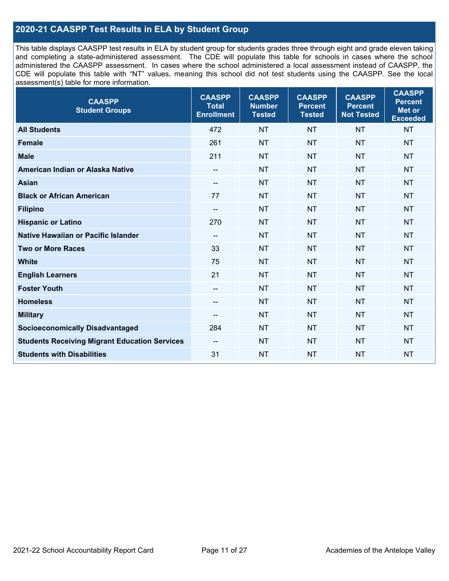# **2020-21 CAASPP Test Results in ELA by Student Group**

This table displays CAASPP test results in ELA by student group for students grades three through eight and grade eleven taking and completing a state-administered assessment. The CDE will populate this table for schools in cases where the school administered the CAASPP assessment. In cases where the school administered a local assessment instead of CAASPP, the CDE will populate this table with "NT" values, meaning this school did not test students using the CAASPP. See the local assessment(s) table for more information.

| <b>CAASPP</b><br><b>Student Groups</b>               | <b>CAASPP</b><br><b>Total</b><br><b>Enrollment</b> | <b>CAASPP</b><br><b>Number</b><br><b>Tested</b> | <b>CAASPP</b><br><b>Percent</b><br><b>Tested</b> | <b>CAASPP</b><br><b>Percent</b><br><b>Not Tested</b> | <b>CAASPP</b><br><b>Percent</b><br><b>Met or</b><br><b>Exceeded</b> |
|------------------------------------------------------|----------------------------------------------------|-------------------------------------------------|--------------------------------------------------|------------------------------------------------------|---------------------------------------------------------------------|
| <b>All Students</b>                                  | 472                                                | <b>NT</b>                                       | <b>NT</b>                                        | <b>NT</b>                                            | <b>NT</b>                                                           |
| <b>Female</b>                                        | 261                                                | <b>NT</b>                                       | <b>NT</b>                                        | <b>NT</b>                                            | <b>NT</b>                                                           |
| <b>Male</b>                                          | 211                                                | <b>NT</b>                                       | <b>NT</b>                                        | <b>NT</b>                                            | <b>NT</b>                                                           |
| American Indian or Alaska Native                     | $\overline{\phantom{a}}$                           | <b>NT</b>                                       | <b>NT</b>                                        | <b>NT</b>                                            | <b>NT</b>                                                           |
| <b>Asian</b>                                         | $\overline{\phantom{a}}$                           | <b>NT</b>                                       | <b>NT</b>                                        | <b>NT</b>                                            | <b>NT</b>                                                           |
| <b>Black or African American</b>                     | 77                                                 | <b>NT</b>                                       | <b>NT</b>                                        | <b>NT</b>                                            | <b>NT</b>                                                           |
| <b>Filipino</b>                                      | $\overline{\phantom{a}}$                           | <b>NT</b>                                       | <b>NT</b>                                        | <b>NT</b>                                            | <b>NT</b>                                                           |
| <b>Hispanic or Latino</b>                            | 270                                                | <b>NT</b>                                       | <b>NT</b>                                        | <b>NT</b>                                            | <b>NT</b>                                                           |
| Native Hawaiian or Pacific Islander                  | --                                                 | <b>NT</b>                                       | <b>NT</b>                                        | <b>NT</b>                                            | <b>NT</b>                                                           |
| <b>Two or More Races</b>                             | 33                                                 | <b>NT</b>                                       | <b>NT</b>                                        | <b>NT</b>                                            | <b>NT</b>                                                           |
| <b>White</b>                                         | 75                                                 | <b>NT</b>                                       | <b>NT</b>                                        | <b>NT</b>                                            | NT                                                                  |
| <b>English Learners</b>                              | 21                                                 | <b>NT</b>                                       | <b>NT</b>                                        | <b>NT</b>                                            | <b>NT</b>                                                           |
| <b>Foster Youth</b>                                  | $\overline{\phantom{a}}$                           | <b>NT</b>                                       | <b>NT</b>                                        | <b>NT</b>                                            | <b>NT</b>                                                           |
| <b>Homeless</b>                                      | $\overline{\phantom{a}}$                           | <b>NT</b>                                       | <b>NT</b>                                        | <b>NT</b>                                            | <b>NT</b>                                                           |
| <b>Military</b>                                      | --                                                 | <b>NT</b>                                       | <b>NT</b>                                        | <b>NT</b>                                            | <b>NT</b>                                                           |
| <b>Socioeconomically Disadvantaged</b>               | 284                                                | <b>NT</b>                                       | <b>NT</b>                                        | <b>NT</b>                                            | <b>NT</b>                                                           |
| <b>Students Receiving Migrant Education Services</b> | $\overline{\phantom{a}}$                           | <b>NT</b>                                       | <b>NT</b>                                        | <b>NT</b>                                            | NT                                                                  |
| <b>Students with Disabilities</b>                    | 31                                                 | <b>NT</b>                                       | <b>NT</b>                                        | <b>NT</b>                                            | <b>NT</b>                                                           |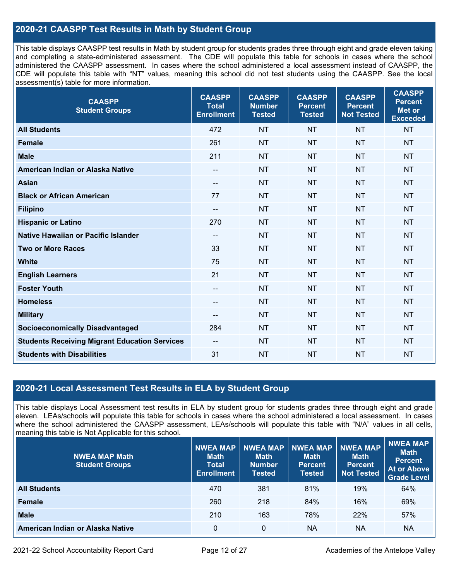# **2020-21 CAASPP Test Results in Math by Student Group**

This table displays CAASPP test results in Math by student group for students grades three through eight and grade eleven taking and completing a state-administered assessment. The CDE will populate this table for schools in cases where the school administered the CAASPP assessment. In cases where the school administered a local assessment instead of CAASPP, the CDE will populate this table with "NT" values, meaning this school did not test students using the CAASPP. See the local assessment(s) table for more information.

| <b>CAASPP</b><br><b>Student Groups</b>               | <b>CAASPP</b><br><b>Total</b><br><b>Enrollment</b> | <b>CAASPP</b><br><b>Number</b><br><b>Tested</b> | <b>CAASPP</b><br><b>Percent</b><br><b>Tested</b> | <b>CAASPP</b><br><b>Percent</b><br><b>Not Tested</b> | <b>CAASPP</b><br><b>Percent</b><br><b>Met or</b><br><b>Exceeded</b> |
|------------------------------------------------------|----------------------------------------------------|-------------------------------------------------|--------------------------------------------------|------------------------------------------------------|---------------------------------------------------------------------|
| <b>All Students</b>                                  | 472                                                | <b>NT</b>                                       | <b>NT</b>                                        | <b>NT</b>                                            | <b>NT</b>                                                           |
| <b>Female</b>                                        | 261                                                | <b>NT</b>                                       | <b>NT</b>                                        | <b>NT</b>                                            | <b>NT</b>                                                           |
| <b>Male</b>                                          | 211                                                | <b>NT</b>                                       | <b>NT</b>                                        | <b>NT</b>                                            | <b>NT</b>                                                           |
| American Indian or Alaska Native                     | $- -$                                              | <b>NT</b>                                       | <b>NT</b>                                        | <b>NT</b>                                            | <b>NT</b>                                                           |
| <b>Asian</b>                                         | $\overline{\phantom{a}}$                           | <b>NT</b>                                       | <b>NT</b>                                        | <b>NT</b>                                            | <b>NT</b>                                                           |
| <b>Black or African American</b>                     | 77                                                 | <b>NT</b>                                       | <b>NT</b>                                        | <b>NT</b>                                            | <b>NT</b>                                                           |
| <b>Filipino</b>                                      | $\overline{\phantom{a}}$                           | <b>NT</b>                                       | <b>NT</b>                                        | <b>NT</b>                                            | <b>NT</b>                                                           |
| <b>Hispanic or Latino</b>                            | 270                                                | <b>NT</b>                                       | <b>NT</b>                                        | <b>NT</b>                                            | <b>NT</b>                                                           |
| Native Hawaiian or Pacific Islander                  | $\qquad \qquad -$                                  | <b>NT</b>                                       | <b>NT</b>                                        | <b>NT</b>                                            | <b>NT</b>                                                           |
| <b>Two or More Races</b>                             | 33                                                 | <b>NT</b>                                       | <b>NT</b>                                        | <b>NT</b>                                            | <b>NT</b>                                                           |
| <b>White</b>                                         | 75                                                 | <b>NT</b>                                       | <b>NT</b>                                        | <b>NT</b>                                            | <b>NT</b>                                                           |
| <b>English Learners</b>                              | 21                                                 | <b>NT</b>                                       | <b>NT</b>                                        | <b>NT</b>                                            | <b>NT</b>                                                           |
| <b>Foster Youth</b>                                  | --                                                 | <b>NT</b>                                       | <b>NT</b>                                        | <b>NT</b>                                            | <b>NT</b>                                                           |
| <b>Homeless</b>                                      | $\overline{\phantom{a}}$                           | <b>NT</b>                                       | <b>NT</b>                                        | <b>NT</b>                                            | <b>NT</b>                                                           |
| <b>Military</b>                                      | $\qquad \qquad -$                                  | <b>NT</b>                                       | <b>NT</b>                                        | <b>NT</b>                                            | <b>NT</b>                                                           |
| <b>Socioeconomically Disadvantaged</b>               | 284                                                | <b>NT</b>                                       | <b>NT</b>                                        | <b>NT</b>                                            | <b>NT</b>                                                           |
| <b>Students Receiving Migrant Education Services</b> | --                                                 | <b>NT</b>                                       | <b>NT</b>                                        | <b>NT</b>                                            | <b>NT</b>                                                           |
| <b>Students with Disabilities</b>                    | 31                                                 | <b>NT</b>                                       | <b>NT</b>                                        | <b>NT</b>                                            | <b>NT</b>                                                           |

## **2020-21 Local Assessment Test Results in ELA by Student Group**

This table displays Local Assessment test results in ELA by student group for students grades three through eight and grade eleven. LEAs/schools will populate this table for schools in cases where the school administered a local assessment. In cases where the school administered the CAASPP assessment, LEAs/schools will populate this table with "N/A" values in all cells, meaning this table is Not Applicable for this school.

| <b>NWEA MAP Math</b><br><b>Student Groups</b> | <b>NWEA MAP</b><br><b>Math</b><br><b>Total</b><br><b>Enrollment</b> | <b>NWEA MAP</b><br><b>Math</b><br><b>Number</b><br>Tested | <b>NWEA MAP</b><br><b>Math</b><br><b>Percent</b><br><b>Tested</b> | <b>NWEA MAP</b><br><b>Math</b><br>Percent<br><b>Not Tested</b> | NWEA MAP<br><b>Math</b><br><b>Percent</b><br><b>At or Above</b><br><b>Grade Level</b> |
|-----------------------------------------------|---------------------------------------------------------------------|-----------------------------------------------------------|-------------------------------------------------------------------|----------------------------------------------------------------|---------------------------------------------------------------------------------------|
| <b>All Students</b>                           | 470                                                                 | 381                                                       | 81%                                                               | 19%                                                            | 64%                                                                                   |
| <b>Female</b>                                 | 260                                                                 | 218                                                       | 84%                                                               | 16%                                                            | 69%                                                                                   |
| <b>Male</b>                                   | 210                                                                 | 163                                                       | 78%                                                               | 22%                                                            | 57%                                                                                   |
| American Indian or Alaska Native              | 0                                                                   | 0                                                         | <b>NA</b>                                                         | <b>NA</b>                                                      | <b>NA</b>                                                                             |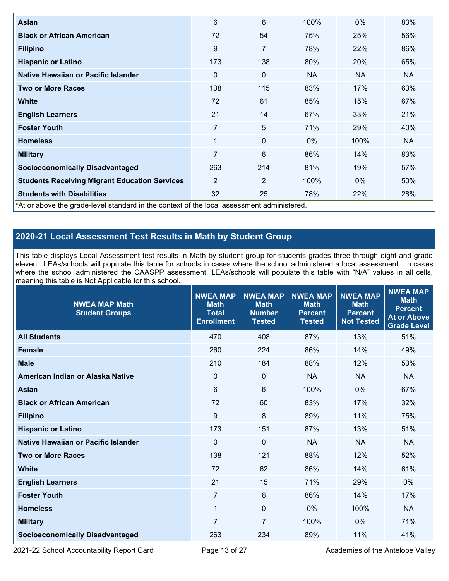| Asian                                                                                      | 6   | 6              | 100%      | $0\%$     | 83%       |
|--------------------------------------------------------------------------------------------|-----|----------------|-----------|-----------|-----------|
| <b>Black or African American</b>                                                           | 72  | 54             | 75%       | 25%       | 56%       |
| <b>Filipino</b>                                                                            | 9   | 7              | 78%       | 22%       | 86%       |
| <b>Hispanic or Latino</b>                                                                  | 173 | 138            | 80%       | 20%       | 65%       |
| Native Hawaiian or Pacific Islander                                                        | 0   | 0              | <b>NA</b> | <b>NA</b> | <b>NA</b> |
| <b>Two or More Races</b>                                                                   | 138 | 115            | 83%       | 17%       | 63%       |
| <b>White</b>                                                                               | 72  | 61             | 85%       | 15%       | 67%       |
| <b>English Learners</b>                                                                    | 21  | 14             | 67%       | 33%       | 21%       |
| <b>Foster Youth</b>                                                                        | 7   | 5              | 71%       | 29%       | 40%       |
| <b>Homeless</b>                                                                            | 1   | $\mathbf 0$    | $0\%$     | 100%      | NA.       |
| <b>Military</b>                                                                            | 7   | 6              | 86%       | 14%       | 83%       |
| <b>Socioeconomically Disadvantaged</b>                                                     | 263 | 214            | 81%       | 19%       | 57%       |
| <b>Students Receiving Migrant Education Services</b>                                       | 2   | $\overline{2}$ | 100%      | $0\%$     | 50%       |
| <b>Students with Disabilities</b>                                                          | 32  | 25             | 78%       | 22%       | 28%       |
| *At or above the grade-level standard in the context of the local assessment administered. |     |                |           |           |           |

# **2020-21 Local Assessment Test Results in Math by Student Group**

This table displays Local Assessment test results in Math by student group for students grades three through eight and grade eleven. LEAs/schools will populate this table for schools in cases where the school administered a local assessment. In cases where the school administered the CAASPP assessment, LEAs/schools will populate this table with "N/A" values in all cells, meaning this table is Not Applicable for this school.

| <b>NWEA MAP Math</b><br><b>Student Groups</b> | <b>NWEA MAP</b><br><b>Math</b><br><b>Total</b><br><b>Enrollment</b> | <b>NWEA MAP</b><br><b>Math</b><br><b>Number</b><br><b>Tested</b> | <b>NWEA MAP</b><br><b>Math</b><br><b>Percent</b><br><b>Tested</b> | <b>NWEA MAP</b><br><b>Math</b><br><b>Percent</b><br><b>Not Tested</b> | <b>NWEA MAP</b><br><b>Math</b><br><b>Percent</b><br><b>At or Above</b><br><b>Grade Level</b> |
|-----------------------------------------------|---------------------------------------------------------------------|------------------------------------------------------------------|-------------------------------------------------------------------|-----------------------------------------------------------------------|----------------------------------------------------------------------------------------------|
| <b>All Students</b>                           | 470                                                                 | 408                                                              | 87%                                                               | 13%                                                                   | 51%                                                                                          |
| <b>Female</b>                                 | 260                                                                 | 224                                                              | 86%                                                               | 14%                                                                   | 49%                                                                                          |
| <b>Male</b>                                   | 210                                                                 | 184                                                              | 88%                                                               | 12%                                                                   | 53%                                                                                          |
| American Indian or Alaska Native              | $\mathbf 0$                                                         | $\mathbf 0$                                                      | <b>NA</b>                                                         | <b>NA</b>                                                             | <b>NA</b>                                                                                    |
| <b>Asian</b>                                  | $6\phantom{a}$                                                      | $6\phantom{1}$                                                   | 100%                                                              | 0%                                                                    | 67%                                                                                          |
| <b>Black or African American</b>              | 72                                                                  | 60                                                               | 83%                                                               | 17%                                                                   | 32%                                                                                          |
| <b>Filipino</b>                               | 9                                                                   | 8                                                                | 89%                                                               | 11%                                                                   | 75%                                                                                          |
| <b>Hispanic or Latino</b>                     | 173                                                                 | 151                                                              | 87%                                                               | 13%                                                                   | 51%                                                                                          |
| Native Hawaiian or Pacific Islander           | 0                                                                   | $\mathbf 0$                                                      | <b>NA</b>                                                         | <b>NA</b>                                                             | <b>NA</b>                                                                                    |
| <b>Two or More Races</b>                      | 138                                                                 | 121                                                              | 88%                                                               | 12%                                                                   | 52%                                                                                          |
| <b>White</b>                                  | 72                                                                  | 62                                                               | 86%                                                               | 14%                                                                   | 61%                                                                                          |
| <b>English Learners</b>                       | 21                                                                  | 15                                                               | 71%                                                               | 29%                                                                   | $0\%$                                                                                        |
| <b>Foster Youth</b>                           | $\overline{7}$                                                      | 6                                                                | 86%                                                               | 14%                                                                   | 17%                                                                                          |
| <b>Homeless</b>                               | 1                                                                   | $\mathbf{0}$                                                     | 0%                                                                | 100%                                                                  | <b>NA</b>                                                                                    |
| <b>Military</b>                               | 7                                                                   | $\overline{7}$                                                   | 100%                                                              | 0%                                                                    | 71%                                                                                          |
| <b>Socioeconomically Disadvantaged</b>        | 263                                                                 | 234                                                              | 89%                                                               | 11%                                                                   | 41%                                                                                          |

2021-22 School Accountability Report Card Page 13 of 27 Academies of the Antelope Valley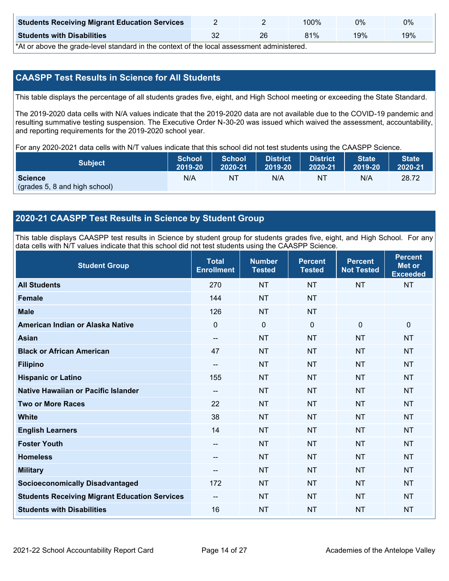| <b>Students Receiving Migrant Education Services</b> |    | 00%ا | 0%  | 0%  |
|------------------------------------------------------|----|------|-----|-----|
| <b>Students with Disabilities</b>                    | 26 | 81%  | 19% | 19% |

\*At or above the grade-level standard in the context of the local assessment administered.

# **CAASPP Test Results in Science for All Students**

This table displays the percentage of all students grades five, eight, and High School meeting or exceeding the State Standard.

The 2019-2020 data cells with N/A values indicate that the 2019-2020 data are not available due to the COVID-19 pandemic and resulting summative testing suspension. The Executive Order N-30-20 was issued which waived the assessment, accountability, and reporting requirements for the 2019-2020 school year.

For any 2020-2021 data cells with N/T values indicate that this school did not test students using the CAASPP Science.

| <b>Subject</b>                                  | <b>School</b> | <b>School</b> | <b>District</b> | <b>District</b> | <b>State</b> | <b>State</b> |
|-------------------------------------------------|---------------|---------------|-----------------|-----------------|--------------|--------------|
|                                                 | 2019-20       | 2020-21       | 2019-20         | 2020-21         | 2019-20      | 2020-21      |
| <b>Science</b><br>(grades 5, 8 and high school) | N/A           | ΝT            | N/A             | N1              | N/A          | 28.72        |

### **2020-21 CAASPP Test Results in Science by Student Group**

This table displays CAASPP test results in Science by student group for students grades five, eight, and High School. For any data cells with N/T values indicate that this school did not test students using the CAASPP Science.

| <b>Student Group</b>                                 | <b>Total</b><br><b>Enrollment</b> | <b>Number</b><br><b>Tested</b> | <b>Percent</b><br><b>Tested</b> | <b>Percent</b><br><b>Not Tested</b> | <b>Percent</b><br><b>Met or</b><br><b>Exceeded</b> |
|------------------------------------------------------|-----------------------------------|--------------------------------|---------------------------------|-------------------------------------|----------------------------------------------------|
| <b>All Students</b>                                  | 270                               | <b>NT</b>                      | <b>NT</b>                       | <b>NT</b>                           | <b>NT</b>                                          |
| <b>Female</b>                                        | 144                               | <b>NT</b>                      | <b>NT</b>                       |                                     |                                                    |
| <b>Male</b>                                          | 126                               | <b>NT</b>                      | <b>NT</b>                       |                                     |                                                    |
| American Indian or Alaska Native                     | $\mathbf 0$                       | $\pmb{0}$                      | $\mathbf 0$                     | $\mathbf 0$                         | $\mathbf 0$                                        |
| <b>Asian</b>                                         | $\overline{\phantom{a}}$          | <b>NT</b>                      | <b>NT</b>                       | <b>NT</b>                           | <b>NT</b>                                          |
| <b>Black or African American</b>                     | 47                                | <b>NT</b>                      | <b>NT</b>                       | <b>NT</b>                           | <b>NT</b>                                          |
| <b>Filipino</b>                                      | --                                | <b>NT</b>                      | <b>NT</b>                       | <b>NT</b>                           | <b>NT</b>                                          |
| <b>Hispanic or Latino</b>                            | 155                               | <b>NT</b>                      | <b>NT</b>                       | <b>NT</b>                           | <b>NT</b>                                          |
| <b>Native Hawaiian or Pacific Islander</b>           | $\overline{\phantom{a}}$          | <b>NT</b>                      | <b>NT</b>                       | <b>NT</b>                           | <b>NT</b>                                          |
| <b>Two or More Races</b>                             | 22                                | <b>NT</b>                      | <b>NT</b>                       | <b>NT</b>                           | <b>NT</b>                                          |
| <b>White</b>                                         | 38                                | <b>NT</b>                      | <b>NT</b>                       | <b>NT</b>                           | <b>NT</b>                                          |
| <b>English Learners</b>                              | 14                                | <b>NT</b>                      | <b>NT</b>                       | <b>NT</b>                           | <b>NT</b>                                          |
| <b>Foster Youth</b>                                  | $\overline{\phantom{a}}$          | <b>NT</b>                      | <b>NT</b>                       | <b>NT</b>                           | <b>NT</b>                                          |
| <b>Homeless</b>                                      | --                                | <b>NT</b>                      | <b>NT</b>                       | <b>NT</b>                           | <b>NT</b>                                          |
| <b>Military</b>                                      | --                                | <b>NT</b>                      | <b>NT</b>                       | <b>NT</b>                           | <b>NT</b>                                          |
| <b>Socioeconomically Disadvantaged</b>               | 172                               | <b>NT</b>                      | <b>NT</b>                       | <b>NT</b>                           | <b>NT</b>                                          |
| <b>Students Receiving Migrant Education Services</b> | $\overline{\phantom{a}}$          | <b>NT</b>                      | <b>NT</b>                       | <b>NT</b>                           | <b>NT</b>                                          |
| <b>Students with Disabilities</b>                    | 16                                | <b>NT</b>                      | <b>NT</b>                       | <b>NT</b>                           | <b>NT</b>                                          |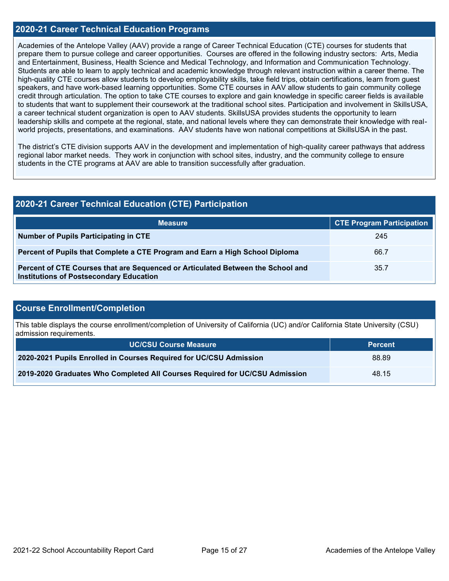### **2020-21 Career Technical Education Programs**

Academies of the Antelope Valley (AAV) provide a range of Career Technical Education (CTE) courses for students that prepare them to pursue college and career opportunities. Courses are offered in the following industry sectors: Arts, Media and Entertainment, Business, Health Science and Medical Technology, and Information and Communication Technology. Students are able to learn to apply technical and academic knowledge through relevant instruction within a career theme. The high-quality CTE courses allow students to develop employability skills, take field trips, obtain certifications, learn from guest speakers, and have work-based learning opportunities. Some CTE courses in AAV allow students to gain community college credit through articulation. The option to take CTE courses to explore and gain knowledge in specific career fields is available to students that want to supplement their coursework at the traditional school sites. Participation and involvement in SkillsUSA, a career technical student organization is open to AAV students. SkillsUSA provides students the opportunity to learn leadership skills and compete at the regional, state, and national levels where they can demonstrate their knowledge with realworld projects, presentations, and examinations. AAV students have won national competitions at SkillsUSA in the past.

The district's CTE division supports AAV in the development and implementation of high-quality career pathways that address regional labor market needs. They work in conjunction with school sites, industry, and the community college to ensure students in the CTE programs at AAV are able to transition successfully after graduation.

| 2020-21 Career Technical Education (CTE) Participation                                                                            |                                  |  |  |  |
|-----------------------------------------------------------------------------------------------------------------------------------|----------------------------------|--|--|--|
| <b>Measure</b>                                                                                                                    | <b>CTE Program Participation</b> |  |  |  |
| Number of Pupils Participating in CTE                                                                                             | 245                              |  |  |  |
| Percent of Pupils that Complete a CTE Program and Earn a High School Diploma                                                      | 66.7                             |  |  |  |
| Percent of CTE Courses that are Sequenced or Articulated Between the School and<br><b>Institutions of Postsecondary Education</b> | 35.7                             |  |  |  |

### **Course Enrollment/Completion**

This table displays the course enrollment/completion of University of California (UC) and/or California State University (CSU) admission requirements.

| <b>UC/CSU Course Measure</b>                                                | <b>Percent</b> |
|-----------------------------------------------------------------------------|----------------|
| 2020-2021 Pupils Enrolled in Courses Required for UC/CSU Admission          | 88.89          |
| 2019-2020 Graduates Who Completed All Courses Required for UC/CSU Admission | 48.15          |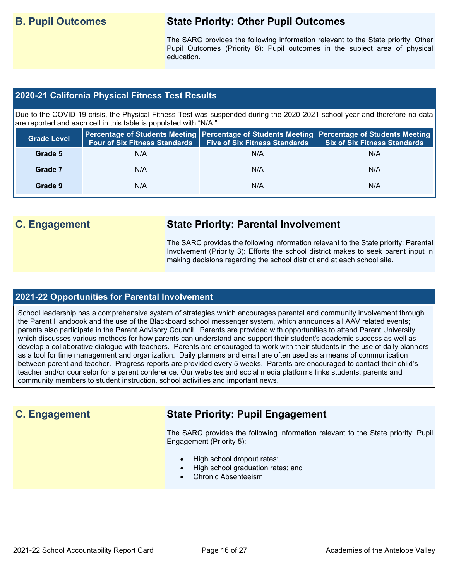# **B. Pupil Outcomes State Priority: Other Pupil Outcomes**

The SARC provides the following information relevant to the State priority: Other Pupil Outcomes (Priority 8): Pupil outcomes in the subject area of physical education.

### **2020-21 California Physical Fitness Test Results**

Due to the COVID-19 crisis, the Physical Fitness Test was suspended during the 2020-2021 school year and therefore no data are reported and each cell in this table is populated with "N/A."

| <b>Grade Level</b> | <b>Four of Six Fitness Standards</b> | <b>Five of Six Fitness Standards</b> | Percentage of Students Meeting   Percentage of Students Meeting   Percentage of Students Meeting<br><b>Six of Six Fitness Standards</b> |
|--------------------|--------------------------------------|--------------------------------------|-----------------------------------------------------------------------------------------------------------------------------------------|
| Grade 5            | N/A                                  | N/A                                  | N/A                                                                                                                                     |
| Grade 7            | N/A                                  | N/A                                  | N/A                                                                                                                                     |
| Grade 9            | N/A                                  | N/A                                  | N/A                                                                                                                                     |

# **C. Engagement State Priority: Parental Involvement**

The SARC provides the following information relevant to the State priority: Parental Involvement (Priority 3): Efforts the school district makes to seek parent input in making decisions regarding the school district and at each school site.

### **2021-22 Opportunities for Parental Involvement**

School leadership has a comprehensive system of strategies which encourages parental and community involvement through the Parent Handbook and the use of the Blackboard school messenger system, which announces all AAV related events; parents also participate in the Parent Advisory Council. Parents are provided with opportunities to attend Parent University which discusses various methods for how parents can understand and support their student's academic success as well as develop a collaborative dialogue with teachers. Parents are encouraged to work with their students in the use of daily planners as a tool for time management and organization. Daily planners and email are often used as a means of communication between parent and teacher. Progress reports are provided every 5 weeks. Parents are encouraged to contact their child's teacher and/or counselor for a parent conference. Our websites and social media platforms links students, parents and community members to student instruction, school activities and important news.

# **C. Engagement State Priority: Pupil Engagement**

The SARC provides the following information relevant to the State priority: Pupil Engagement (Priority 5):

- High school dropout rates;
- High school graduation rates; and
- Chronic Absenteeism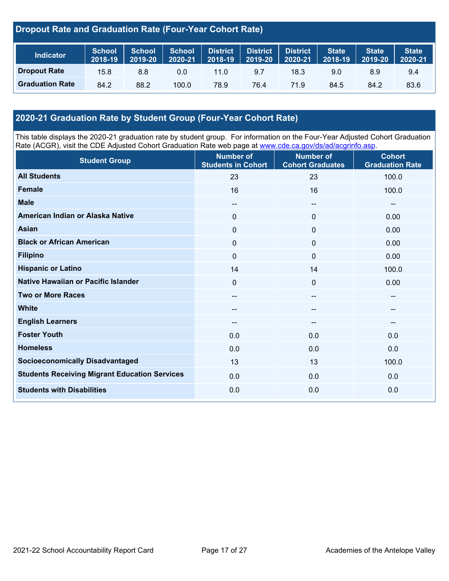# **Dropout Rate and Graduation Rate (Four-Year Cohort Rate)**

| <b>Indicator</b>       | <b>School</b><br>2018-19 | <b>School</b><br>2019-20 | <b>School</b><br>2020-21 | District<br>$2018 - 19$ | <b>District</b><br>2019-20 | <b>District</b><br>2020-21 | State <sup>1</sup><br>2018-19 | <b>State</b><br>2019-20 | State <sup>1</sup><br>2020-21 |
|------------------------|--------------------------|--------------------------|--------------------------|-------------------------|----------------------------|----------------------------|-------------------------------|-------------------------|-------------------------------|
| <b>Dropout Rate</b>    | 15.8                     | 8.8                      | 0.0                      | 11.0                    | 9.7                        | 18.3                       | 9.0                           | 8.9                     | 9.4                           |
| <b>Graduation Rate</b> | 84.2                     | 88.2                     | 100.0                    | 78.9                    | 76.4                       | 71.9                       | 84.5                          | 84.2                    | 83.6                          |

# **2020-21 Graduation Rate by Student Group (Four-Year Cohort Rate)**

This table displays the 2020-21 graduation rate by student group. For information on the Four-Year Adjusted Cohort Graduation Rate (ACGR), visit the CDE Adjusted Cohort Graduation Rate web page at [www.cde.ca.gov/ds/ad/acgrinfo.asp.](http://www.cde.ca.gov/ds/ad/acgrinfo.asp)

| <b>Student Group</b>                                 | <b>Number of</b><br><b>Students in Cohort</b> | <b>Number of</b><br><b>Cohort Graduates</b> | <b>Cohort</b><br><b>Graduation Rate</b> |
|------------------------------------------------------|-----------------------------------------------|---------------------------------------------|-----------------------------------------|
| <b>All Students</b>                                  | 23                                            | 23                                          | 100.0                                   |
| <b>Female</b>                                        | 16                                            | 16                                          | 100.0                                   |
| <b>Male</b>                                          | --                                            | $\hspace{0.05cm}$                           | $-$                                     |
| American Indian or Alaska Native                     | 0                                             | $\mathbf 0$                                 | 0.00                                    |
| <b>Asian</b>                                         | 0                                             | $\mathbf 0$                                 | 0.00                                    |
| <b>Black or African American</b>                     | 0                                             | $\mathbf 0$                                 | 0.00                                    |
| <b>Filipino</b>                                      | $\Omega$                                      | $\mathbf 0$                                 | 0.00                                    |
| <b>Hispanic or Latino</b>                            | 14                                            | 14                                          | 100.0                                   |
| Native Hawaiian or Pacific Islander                  | 0                                             | $\mathbf 0$                                 | 0.00                                    |
| <b>Two or More Races</b>                             | --                                            | $\overline{\phantom{a}}$                    | --                                      |
| <b>White</b>                                         | --                                            | $\hspace{0.05cm}$                           | --                                      |
| <b>English Learners</b>                              | --                                            | --                                          |                                         |
| <b>Foster Youth</b>                                  | 0.0                                           | 0.0                                         | 0.0                                     |
| <b>Homeless</b>                                      | 0.0                                           | 0.0                                         | 0.0                                     |
| <b>Socioeconomically Disadvantaged</b>               | 13                                            | 13                                          | 100.0                                   |
| <b>Students Receiving Migrant Education Services</b> | 0.0                                           | 0.0                                         | 0.0                                     |
| <b>Students with Disabilities</b>                    | 0.0                                           | 0.0                                         | 0.0                                     |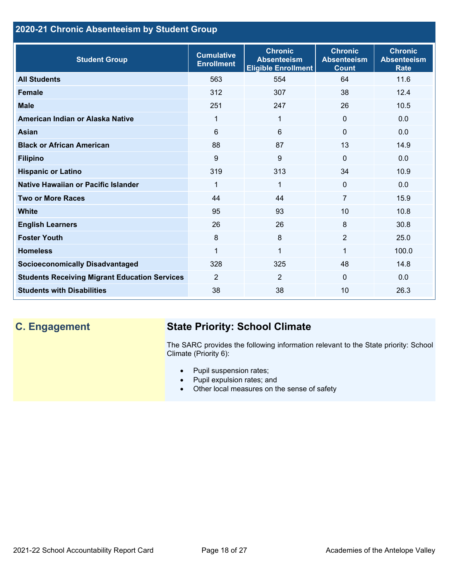# **2020-21 Chronic Absenteeism by Student Group**

| <b>Student Group</b>                                 | <b>Cumulative</b><br><b>Enrollment</b> | <b>Chronic</b><br><b>Absenteeism</b><br><b>Eligible Enrollment</b> | <b>Chronic</b><br><b>Absenteeism</b><br><b>Count</b> | <b>Chronic</b><br><b>Absenteeism</b><br><b>Rate</b> |
|------------------------------------------------------|----------------------------------------|--------------------------------------------------------------------|------------------------------------------------------|-----------------------------------------------------|
| <b>All Students</b>                                  | 563                                    | 554                                                                | 64                                                   | 11.6                                                |
| <b>Female</b>                                        | 312                                    | 307                                                                | 38                                                   | 12.4                                                |
| <b>Male</b>                                          | 251                                    | 247                                                                | 26                                                   | 10.5                                                |
| American Indian or Alaska Native                     | 1                                      | $\mathbf{1}$                                                       | $\mathbf{0}$                                         | 0.0                                                 |
| <b>Asian</b>                                         | 6                                      | 6                                                                  | $\mathbf 0$                                          | 0.0                                                 |
| <b>Black or African American</b>                     | 88                                     | 87                                                                 | 13                                                   | 14.9                                                |
| <b>Filipino</b>                                      | 9                                      | 9                                                                  | $\mathbf{0}$                                         | 0.0                                                 |
| <b>Hispanic or Latino</b>                            | 319                                    | 313                                                                | 34                                                   | 10.9                                                |
| Native Hawaiian or Pacific Islander                  | 1                                      | $\mathbf{1}$                                                       | $\mathbf 0$                                          | 0.0                                                 |
| <b>Two or More Races</b>                             | 44                                     | 44                                                                 | $\overline{7}$                                       | 15.9                                                |
| <b>White</b>                                         | 95                                     | 93                                                                 | 10                                                   | 10.8                                                |
| <b>English Learners</b>                              | 26                                     | 26                                                                 | 8                                                    | 30.8                                                |
| <b>Foster Youth</b>                                  | 8                                      | 8                                                                  | 2                                                    | 25.0                                                |
| <b>Homeless</b>                                      | 1                                      | $\mathbf{1}$                                                       | 1                                                    | 100.0                                               |
| <b>Socioeconomically Disadvantaged</b>               | 328                                    | 325                                                                | 48                                                   | 14.8                                                |
| <b>Students Receiving Migrant Education Services</b> | $\overline{2}$                         | $\overline{2}$                                                     | $\mathbf{0}$                                         | 0.0                                                 |
| <b>Students with Disabilities</b>                    | 38                                     | 38                                                                 | 10                                                   | 26.3                                                |

# **C. Engagement State Priority: School Climate**

The SARC provides the following information relevant to the State priority: School Climate (Priority 6):

- Pupil suspension rates;
- Pupil expulsion rates; and
- Other local measures on the sense of safety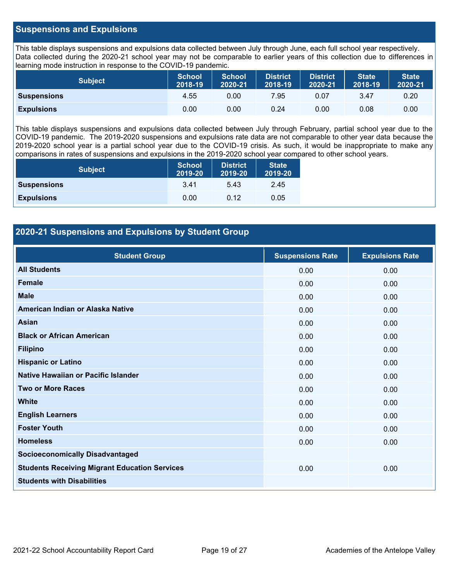### **Suspensions and Expulsions**

This table displays suspensions and expulsions data collected between July through June, each full school year respectively. Data collected during the 2020-21 school year may not be comparable to earlier years of this collection due to differences in learning mode instruction in response to the COVID-19 pandemic.

| <b>Subject</b>     | <b>School</b><br>2018-19 | <b>School</b><br>2020-21 | <b>District</b><br>2018-19 | <b>District</b><br>2020-21 | <b>State</b><br>2018-19 | <b>State</b><br>2020-21 |
|--------------------|--------------------------|--------------------------|----------------------------|----------------------------|-------------------------|-------------------------|
| <b>Suspensions</b> | 4.55                     | 0.00                     | 7.95                       | 0.07                       | 3.47                    | 0.20                    |
| <b>Expulsions</b>  | 0.00                     | 0.00                     | 0.24                       | 0.00                       | 0.08                    | 0.00                    |

This table displays suspensions and expulsions data collected between July through February, partial school year due to the COVID-19 pandemic. The 2019-2020 suspensions and expulsions rate data are not comparable to other year data because the 2019-2020 school year is a partial school year due to the COVID-19 crisis. As such, it would be inappropriate to make any comparisons in rates of suspensions and expulsions in the 2019-2020 school year compared to other school years.

| <b>Subject</b>     | <b>School</b><br>2019-20 | <b>District</b><br>2019-20 | <b>State</b><br>2019-20 |
|--------------------|--------------------------|----------------------------|-------------------------|
| <b>Suspensions</b> | 3.41                     | 5.43                       | 2.45                    |
| <b>Expulsions</b>  | 0.00                     | 0.12                       | 0.05                    |

## **2020-21 Suspensions and Expulsions by Student Group**

| <b>Student Group</b>                                 | <b>Suspensions Rate</b> | <b>Expulsions Rate</b> |
|------------------------------------------------------|-------------------------|------------------------|
| <b>All Students</b>                                  | 0.00                    | 0.00                   |
| <b>Female</b>                                        | 0.00                    | 0.00                   |
| <b>Male</b>                                          | 0.00                    | 0.00                   |
| American Indian or Alaska Native                     | 0.00                    | 0.00                   |
| <b>Asian</b>                                         | 0.00                    | 0.00                   |
| <b>Black or African American</b>                     | 0.00                    | 0.00                   |
| <b>Filipino</b>                                      | 0.00                    | 0.00                   |
| <b>Hispanic or Latino</b>                            | 0.00                    | 0.00                   |
| Native Hawaiian or Pacific Islander                  | 0.00                    | 0.00                   |
| <b>Two or More Races</b>                             | 0.00                    | 0.00                   |
| <b>White</b>                                         | 0.00                    | 0.00                   |
| <b>English Learners</b>                              | 0.00                    | 0.00                   |
| <b>Foster Youth</b>                                  | 0.00                    | 0.00                   |
| <b>Homeless</b>                                      | 0.00                    | 0.00                   |
| <b>Socioeconomically Disadvantaged</b>               |                         |                        |
| <b>Students Receiving Migrant Education Services</b> | 0.00                    | 0.00                   |
| <b>Students with Disabilities</b>                    |                         |                        |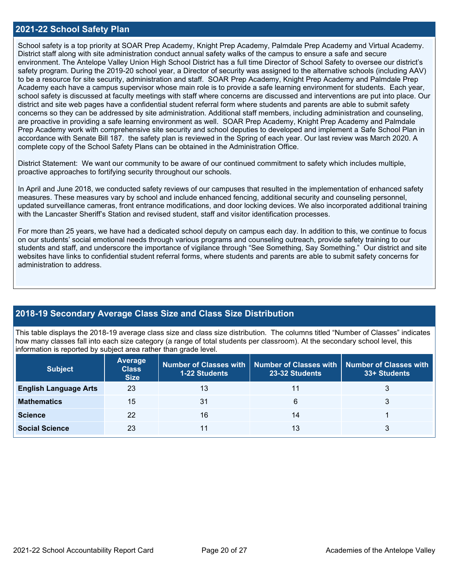### **2021-22 School Safety Plan**

School safety is a top priority at SOAR Prep Academy, Knight Prep Academy, Palmdale Prep Academy and Virtual Academy. District staff along with site administration conduct annual safety walks of the campus to ensure a safe and secure environment. The Antelope Valley Union High School District has a full time Director of School Safety to oversee our district's safety program. During the 2019-20 school year, a Director of security was assigned to the alternative schools (including AAV) to be a resource for site security, administration and staff. SOAR Prep Academy, Knight Prep Academy and Palmdale Prep Academy each have a campus supervisor whose main role is to provide a safe learning environment for students. Each year, school safety is discussed at faculty meetings with staff where concerns are discussed and interventions are put into place. Our district and site web pages have a confidential student referral form where students and parents are able to submit safety concerns so they can be addressed by site administration. Additional staff members, including administration and counseling, are proactive in providing a safe learning environment as well. SOAR Prep Academy, Knight Prep Academy and Palmdale Prep Academy work with comprehensive site security and school deputies to developed and implement a Safe School Plan in accordance with Senate Bill 187. the safety plan is reviewed in the Spring of each year. Our last review was March 2020. A complete copy of the School Safety Plans can be obtained in the Administration Office.

District Statement: We want our community to be aware of our continued commitment to safety which includes multiple, proactive approaches to fortifying security throughout our schools.

In April and June 2018, we conducted safety reviews of our campuses that resulted in the implementation of enhanced safety measures. These measures vary by school and include enhanced fencing, additional security and counseling personnel, updated surveillance cameras, front entrance modifications, and door locking devices. We also incorporated additional training with the Lancaster Sheriff's Station and revised student, staff and visitor identification processes.

For more than 25 years, we have had a dedicated school deputy on campus each day. In addition to this, we continue to focus on our students' social emotional needs through various programs and counseling outreach, provide safety training to our students and staff, and underscore the importance of vigilance through "See Something, Say Something." Our district and site websites have links to confidential student referral forms, where students and parents are able to submit safety concerns for administration to address.

## **2018-19 Secondary Average Class Size and Class Size Distribution**

This table displays the 2018-19 average class size and class size distribution. The columns titled "Number of Classes" indicates how many classes fall into each size category (a range of total students per classroom). At the secondary school level, this information is reported by subject area rather than grade level.

| <b>Subject</b>               | <b>Average</b><br><b>Class</b><br><b>Size</b> | <b>1-22 Students</b> | Number of Classes with   Number of Classes with<br>23-32 Students | <b>Number of Classes with</b><br>33+ Students |
|------------------------------|-----------------------------------------------|----------------------|-------------------------------------------------------------------|-----------------------------------------------|
| <b>English Language Arts</b> | 23                                            | 13                   | 11                                                                | 3                                             |
| <b>Mathematics</b>           | 15                                            | 31                   | 6                                                                 |                                               |
| <b>Science</b>               | 22                                            | 16                   | 14                                                                |                                               |
| <b>Social Science</b>        | 23                                            |                      | 13                                                                |                                               |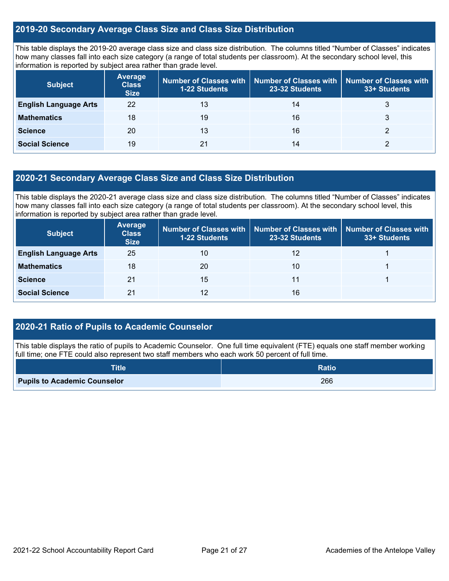### **2019-20 Secondary Average Class Size and Class Size Distribution**

This table displays the 2019-20 average class size and class size distribution. The columns titled "Number of Classes" indicates how many classes fall into each size category (a range of total students per classroom). At the secondary school level, this information is reported by subject area rather than grade level.

| <b>Subject</b>               | <b>Average</b><br><b>Class</b><br><b>Size</b> | <b>1-22 Students</b> | Number of Classes with   Number of Classes with   Number of Classes with<br>23-32 Students | 33+ Students |
|------------------------------|-----------------------------------------------|----------------------|--------------------------------------------------------------------------------------------|--------------|
| <b>English Language Arts</b> | 22                                            | 13                   | 14                                                                                         | 3            |
| <b>Mathematics</b>           | 18                                            | 19                   | 16                                                                                         |              |
| <b>Science</b>               | 20                                            | 13                   | 16                                                                                         |              |
| <b>Social Science</b>        | 19                                            | 21                   | 14                                                                                         |              |

### **2020-21 Secondary Average Class Size and Class Size Distribution**

This table displays the 2020-21 average class size and class size distribution. The columns titled "Number of Classes" indicates how many classes fall into each size category (a range of total students per classroom). At the secondary school level, this information is reported by subject area rather than grade level.

| <b>Subject</b>               | <b>Average</b><br><b>Class</b><br><b>Size</b> | Number of Classes with  <br><b>1-22 Students</b> | 23-32 Students | Number of Classes with   Number of Classes with<br>33+ Students |
|------------------------------|-----------------------------------------------|--------------------------------------------------|----------------|-----------------------------------------------------------------|
| <b>English Language Arts</b> | 25                                            | 10                                               | 12             |                                                                 |
| <b>Mathematics</b>           | 18                                            | 20                                               | 10             |                                                                 |
| <b>Science</b>               | 21                                            | 15                                               | 11             |                                                                 |
| <b>Social Science</b>        | 21                                            | 12                                               | 16             |                                                                 |

## **2020-21 Ratio of Pupils to Academic Counselor**

This table displays the ratio of pupils to Academic Counselor. One full time equivalent (FTE) equals one staff member working full time; one FTE could also represent two staff members who each work 50 percent of full time.

| <b>Title</b>                        | <b>Ratio</b> |
|-------------------------------------|--------------|
| <b>Pupils to Academic Counselor</b> | 266          |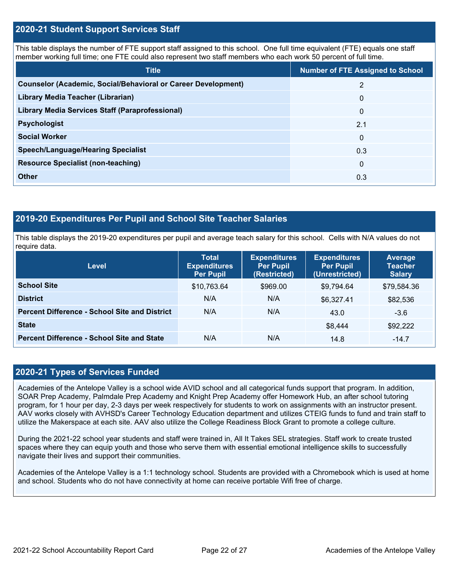### **2020-21 Student Support Services Staff**

This table displays the number of FTE support staff assigned to this school. One full time equivalent (FTE) equals one staff member working full time; one FTE could also represent two staff members who each work 50 percent of full time.

| <b>Title</b>                                                         | <b>Number of FTE Assigned to School</b> |
|----------------------------------------------------------------------|-----------------------------------------|
| <b>Counselor (Academic, Social/Behavioral or Career Development)</b> | 2                                       |
| Library Media Teacher (Librarian)                                    | $\mathbf 0$                             |
| <b>Library Media Services Staff (Paraprofessional)</b>               | $\mathbf 0$                             |
| <b>Psychologist</b>                                                  | 2.1                                     |
| <b>Social Worker</b>                                                 | $\Omega$                                |
| <b>Speech/Language/Hearing Specialist</b>                            | 0.3                                     |
| <b>Resource Specialist (non-teaching)</b>                            | $\Omega$                                |
| <b>Other</b>                                                         | 0.3                                     |

### **2019-20 Expenditures Per Pupil and School Site Teacher Salaries**

This table displays the 2019-20 expenditures per pupil and average teach salary for this school. Cells with N/A values do not require data.

| <b>Level</b>                                         | <b>Total</b><br><b>Expenditures</b><br><b>Per Pupil</b> | <b>Expenditures</b><br><b>Per Pupil</b><br>(Restricted) | <b>Expenditures</b><br><b>Per Pupil</b><br>(Unrestricted) | Average<br><b>Teacher</b><br><b>Salary</b> |
|------------------------------------------------------|---------------------------------------------------------|---------------------------------------------------------|-----------------------------------------------------------|--------------------------------------------|
| <b>School Site</b>                                   | \$10,763.64                                             | \$969.00                                                | \$9,794.64                                                | \$79,584.36                                |
| <b>District</b>                                      | N/A                                                     | N/A                                                     | \$6,327.41                                                | \$82,536                                   |
| <b>Percent Difference - School Site and District</b> | N/A                                                     | N/A                                                     | 43.0                                                      | $-3.6$                                     |
| <b>State</b>                                         |                                                         |                                                         | \$8,444                                                   | \$92,222                                   |
| <b>Percent Difference - School Site and State</b>    | N/A                                                     | N/A                                                     | 14.8                                                      | $-14.7$                                    |

### **2020-21 Types of Services Funded**

Academies of the Antelope Valley is a school wide AVID school and all categorical funds support that program. In addition, SOAR Prep Academy, Palmdale Prep Academy and Knight Prep Academy offer Homework Hub, an after school tutoring program, for 1 hour per day, 2-3 days per week respectively for students to work on assignments with an instructor present. AAV works closely with AVHSD's Career Technology Education department and utilizes CTEIG funds to fund and train staff to utilize the Makerspace at each site. AAV also utilize the College Readiness Block Grant to promote a college culture.

During the 2021-22 school year students and staff were trained in, All It Takes SEL strategies. Staff work to create trusted spaces where they can equip youth and those who serve them with essential emotional intelligence skills to successfully navigate their lives and support their communities.

Academies of the Antelope Valley is a 1:1 technology school. Students are provided with a Chromebook which is used at home and school. Students who do not have connectivity at home can receive portable Wifi free of charge.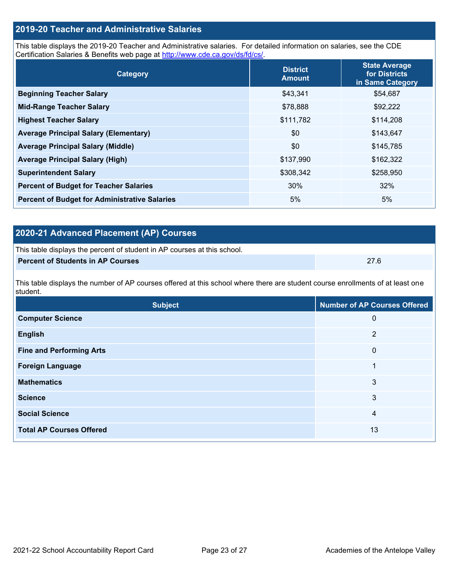# 2021-22 School Accountability Report Card Page 23 of 27 Academies of the Antelope Valley

| <b>Foreign Language</b> |        |
|-------------------------|--------|
| <b>Mathematics</b>      | $\sim$ |

**Computer Science** 0

**English** 2

**Fine and Performing Arts** 0

**Science** 3 **Social Science** 4

**Total AP Courses Offered** 13

| <b>Subject</b>                                                                                                                             | Number of AP Courses Offered |
|--------------------------------------------------------------------------------------------------------------------------------------------|------------------------------|
| This table displays the number of AP courses offered at this school where there are student course enrollments of at least one<br>student. |                              |
| <b>Percent of Students in AP Courses</b>                                                                                                   | 27.6                         |
|                                                                                                                                            |                              |

| 2020-21 Advanced Placement (AP) Courses <sub>l</sub> |  |
|------------------------------------------------------|--|

This table displays the percent of student in AP courses at this school.

| Category                                             | <b>District</b><br><b>Amount</b> | State Average<br>for Districts<br>in Same Category |  |
|------------------------------------------------------|----------------------------------|----------------------------------------------------|--|
| <b>Beginning Teacher Salary</b>                      | \$43,341                         | \$54,687                                           |  |
| <b>Mid-Range Teacher Salary</b>                      | \$78,888                         | \$92,222                                           |  |
| <b>Highest Teacher Salary</b>                        | \$111,782                        | \$114,208                                          |  |
| <b>Average Principal Salary (Elementary)</b>         | \$0                              | \$143,647                                          |  |
| <b>Average Principal Salary (Middle)</b>             | \$0                              | \$145,785                                          |  |
| <b>Average Principal Salary (High)</b>               | \$137,990                        | \$162,322                                          |  |
| <b>Superintendent Salary</b>                         | \$308,342                        | \$258,950                                          |  |
| <b>Percent of Budget for Teacher Salaries</b>        | 30%                              | 32%                                                |  |
| <b>Percent of Budget for Administrative Salaries</b> | 5%                               | 5%                                                 |  |

# **2019-20 Teacher and Administrative Salaries**

This table displays the 2019-20 Teacher and Administrative salaries. For detailed information on salaries, see the CDE Certification Salaries & Benefits web page at [http://www.cde.ca.gov/ds/fd/cs/.](http://www.cde.ca.gov/ds/fd/cs/)

**State Average**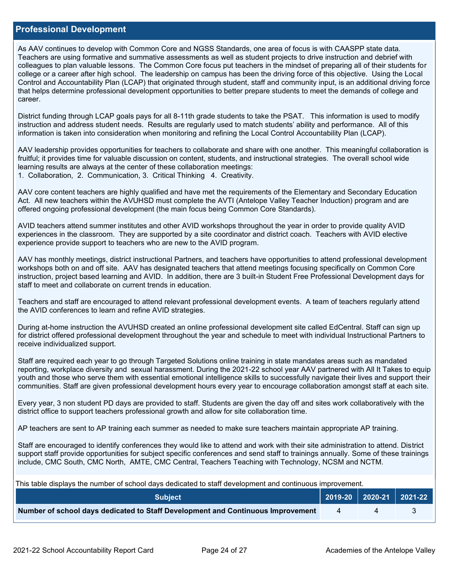### **Professional Development**

As AAV continues to develop with Common Core and NGSS Standards, one area of focus is with CAASPP state data. Teachers are using formative and summative assessments as well as student projects to drive instruction and debrief with colleagues to plan valuable lessons. The Common Core focus put teachers in the mindset of preparing all of their students for college or a career after high school. The leadership on campus has been the driving force of this objective. Using the Local Control and Accountability Plan (LCAP) that originated through student, staff and community input, is an additional driving force that helps determine professional development opportunities to better prepare students to meet the demands of college and career.

District funding through LCAP goals pays for all 8-11th grade students to take the PSAT. This information is used to modify instruction and address student needs. Results are regularly used to match students' ability and performance. All of this information is taken into consideration when monitoring and refining the Local Control Accountability Plan (LCAP).

AAV leadership provides opportunities for teachers to collaborate and share with one another. This meaningful collaboration is fruitful; it provides time for valuable discussion on content, students, and instructional strategies. The overall school wide learning results are always at the center of these collaboration meetings: 1. Collaboration, 2. Communication, 3. Critical Thinking 4. Creativity.

AAV core content teachers are highly qualified and have met the requirements of the Elementary and Secondary Education Act. All new teachers within the AVUHSD must complete the AVTI (Antelope Valley Teacher Induction) program and are offered ongoing professional development (the main focus being Common Core Standards).

AVID teachers attend summer institutes and other AVID workshops throughout the year in order to provide quality AVID experiences in the classroom. They are supported by a site coordinator and district coach. Teachers with AVID elective experience provide support to teachers who are new to the AVID program.

AAV has monthly meetings, district instructional Partners, and teachers have opportunities to attend professional development workshops both on and off site. AAV has designated teachers that attend meetings focusing specifically on Common Core instruction, project based learning and AVID. In addition, there are 3 built-in Student Free Professional Development days for staff to meet and collaborate on current trends in education.

Teachers and staff are encouraged to attend relevant professional development events. A team of teachers regularly attend the AVID conferences to learn and refine AVID strategies.

During at-home instruction the AVUHSD created an online professional development site called EdCentral. Staff can sign up for district offered professional development throughout the year and schedule to meet with individual Instructional Partners to receive individualized support.

Staff are required each year to go through Targeted Solutions online training in state mandates areas such as mandated reporting, workplace diversity and sexual harassment. During the 2021-22 school year AAV partnered with All It Takes to equip youth and those who serve them with essential emotional intelligence skills to successfully navigate their lives and support their communities. Staff are given professional development hours every year to encourage collaboration amongst staff at each site.

Every year, 3 non student PD days are provided to staff. Students are given the day off and sites work collaboratively with the district office to support teachers professional growth and allow for site collaboration time.

AP teachers are sent to AP training each summer as needed to make sure teachers maintain appropriate AP training.

Staff are encouraged to identify conferences they would like to attend and work with their site administration to attend. District support staff provide opportunities for subject specific conferences and send staff to trainings annually. Some of these trainings include, CMC South, CMC North, AMTE, CMC Central, Teachers Teaching with Technology, NCSM and NCTM.

| This table displays the number of school days dedicated to staff development and continuous improvement. |                |  |  |  |  |
|----------------------------------------------------------------------------------------------------------|----------------|--|--|--|--|
| <b>Subject</b>                                                                                           |                |  |  |  |  |
| Number of school days dedicated to Staff Development and Continuous Improvement                          | $\overline{a}$ |  |  |  |  |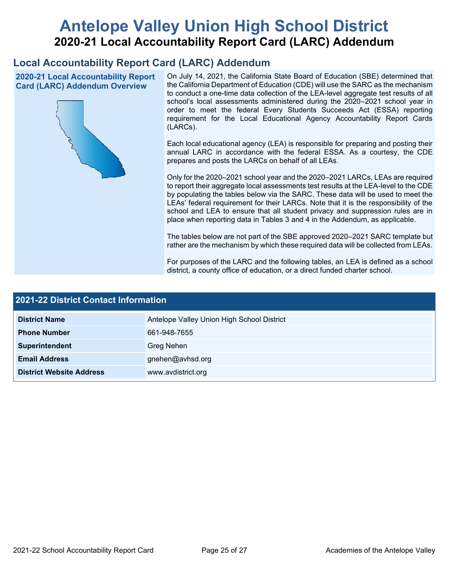# **Antelope Valley Union High School District 2020-21 Local Accountability Report Card (LARC) Addendum**

# **Local Accountability Report Card (LARC) Addendum**

**2020-21 Local Accountability Report Card (LARC) Addendum Overview**



On July 14, 2021, the California State Board of Education (SBE) determined that the California Department of Education (CDE) will use the SARC as the mechanism to conduct a one-time data collection of the LEA-level aggregate test results of all school's local assessments administered during the 2020–2021 school year in order to meet the federal Every Students Succeeds Act (ESSA) reporting requirement for the Local Educational Agency Accountability Report Cards (LARCs).

Each local educational agency (LEA) is responsible for preparing and posting their annual LARC in accordance with the federal ESSA. As a courtesy, the CDE prepares and posts the LARCs on behalf of all LEAs.

Only for the 2020–2021 school year and the 2020–2021 LARCs, LEAs are required to report their aggregate local assessments test results at the LEA-level to the CDE by populating the tables below via the SARC. These data will be used to meet the LEAs' federal requirement for their LARCs. Note that it is the responsibility of the school and LEA to ensure that all student privacy and suppression rules are in place when reporting data in Tables 3 and 4 in the Addendum, as applicable.

The tables below are not part of the SBE approved 2020–2021 SARC template but rather are the mechanism by which these required data will be collected from LEAs.

For purposes of the LARC and the following tables, an LEA is defined as a school district, a county office of education, or a direct funded charter school.

| 2021-22 District Contact Information |                                            |  |  |  |
|--------------------------------------|--------------------------------------------|--|--|--|
| <b>District Name</b>                 | Antelope Valley Union High School District |  |  |  |
| <b>Phone Number</b>                  | 661-948-7655                               |  |  |  |
| Superintendent                       | Greg Nehen                                 |  |  |  |
| <b>Email Address</b>                 | gnehen@avhsd.org                           |  |  |  |
| <b>District Website Address</b>      | www.avdistrict.org                         |  |  |  |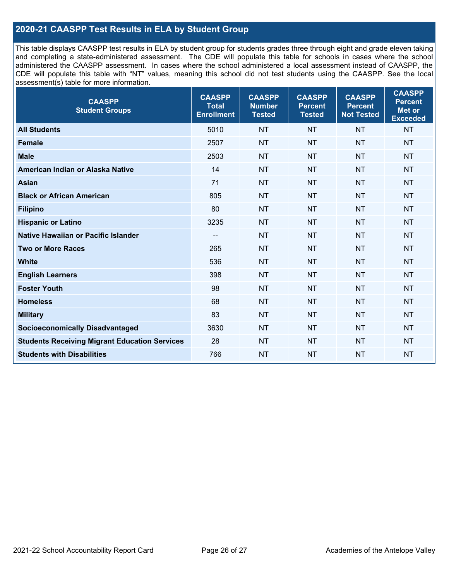# **2020-21 CAASPP Test Results in ELA by Student Group**

This table displays CAASPP test results in ELA by student group for students grades three through eight and grade eleven taking and completing a state-administered assessment. The CDE will populate this table for schools in cases where the school administered the CAASPP assessment. In cases where the school administered a local assessment instead of CAASPP, the CDE will populate this table with "NT" values, meaning this school did not test students using the CAASPP. See the local assessment(s) table for more information.

| <b>CAASPP</b><br><b>Student Groups</b>               | <b>CAASPP</b><br><b>Total</b><br><b>Enrollment</b> | <b>CAASPP</b><br><b>Number</b><br><b>Tested</b> | <b>CAASPP</b><br><b>Percent</b><br><b>Tested</b> | <b>CAASPP</b><br><b>Percent</b><br><b>Not Tested</b> | <b>CAASPP</b><br><b>Percent</b><br><b>Met or</b><br><b>Exceeded</b> |
|------------------------------------------------------|----------------------------------------------------|-------------------------------------------------|--------------------------------------------------|------------------------------------------------------|---------------------------------------------------------------------|
| <b>All Students</b>                                  | 5010                                               | <b>NT</b>                                       | <b>NT</b>                                        | <b>NT</b>                                            | <b>NT</b>                                                           |
| <b>Female</b>                                        | 2507                                               | <b>NT</b>                                       | <b>NT</b>                                        | <b>NT</b>                                            | <b>NT</b>                                                           |
| <b>Male</b>                                          | 2503                                               | <b>NT</b>                                       | <b>NT</b>                                        | <b>NT</b>                                            | <b>NT</b>                                                           |
| American Indian or Alaska Native                     | 14                                                 | <b>NT</b>                                       | <b>NT</b>                                        | <b>NT</b>                                            | <b>NT</b>                                                           |
| <b>Asian</b>                                         | 71                                                 | <b>NT</b>                                       | <b>NT</b>                                        | <b>NT</b>                                            | <b>NT</b>                                                           |
| <b>Black or African American</b>                     | 805                                                | <b>NT</b>                                       | <b>NT</b>                                        | <b>NT</b>                                            | <b>NT</b>                                                           |
| <b>Filipino</b>                                      | 80                                                 | <b>NT</b>                                       | <b>NT</b>                                        | <b>NT</b>                                            | <b>NT</b>                                                           |
| <b>Hispanic or Latino</b>                            | 3235                                               | <b>NT</b>                                       | <b>NT</b>                                        | <b>NT</b>                                            | <b>NT</b>                                                           |
| Native Hawaiian or Pacific Islander                  | $\overline{\phantom{a}}$                           | <b>NT</b>                                       | <b>NT</b>                                        | <b>NT</b>                                            | <b>NT</b>                                                           |
| <b>Two or More Races</b>                             | 265                                                | <b>NT</b>                                       | <b>NT</b>                                        | <b>NT</b>                                            | <b>NT</b>                                                           |
| <b>White</b>                                         | 536                                                | <b>NT</b>                                       | <b>NT</b>                                        | <b>NT</b>                                            | <b>NT</b>                                                           |
| <b>English Learners</b>                              | 398                                                | <b>NT</b>                                       | <b>NT</b>                                        | <b>NT</b>                                            | <b>NT</b>                                                           |
| <b>Foster Youth</b>                                  | 98                                                 | <b>NT</b>                                       | <b>NT</b>                                        | <b>NT</b>                                            | <b>NT</b>                                                           |
| <b>Homeless</b>                                      | 68                                                 | <b>NT</b>                                       | <b>NT</b>                                        | <b>NT</b>                                            | <b>NT</b>                                                           |
| <b>Military</b>                                      | 83                                                 | <b>NT</b>                                       | <b>NT</b>                                        | <b>NT</b>                                            | <b>NT</b>                                                           |
| <b>Socioeconomically Disadvantaged</b>               | 3630                                               | <b>NT</b>                                       | <b>NT</b>                                        | <b>NT</b>                                            | <b>NT</b>                                                           |
| <b>Students Receiving Migrant Education Services</b> | 28                                                 | <b>NT</b>                                       | <b>NT</b>                                        | <b>NT</b>                                            | <b>NT</b>                                                           |
| <b>Students with Disabilities</b>                    | 766                                                | <b>NT</b>                                       | <b>NT</b>                                        | <b>NT</b>                                            | NT                                                                  |